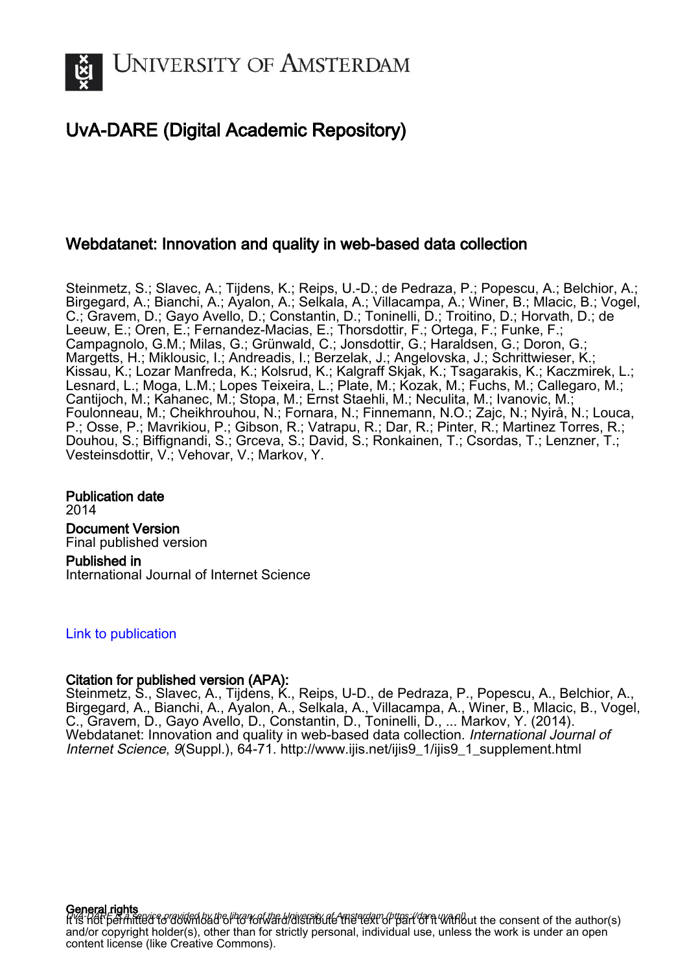

## UvA-DARE (Digital Academic Repository)

## Webdatanet: Innovation and quality in web-based data collection

Steinmetz, S.; Slavec, A.; Tijdens, K.; Reips, U.-D.; de Pedraza, P.; Popescu, A.; Belchior, A.; Birgegard, A.; Bianchi, A.; Ayalon, A.; Selkala, A.; Villacampa, A.; Winer, B.; Mlacic, B.; Vogel, C.; Gravem, D.; Gayo Avello, D.; Constantin, D.; Toninelli, D.; Troitino, D.; Horvath, D.; de Leeuw, E.; Oren, E.; Fernandez-Macias, E.; Thorsdottir, F.; Ortega, F.; Funke, F.; Campagnolo, G.M.; Milas, G.; Grünwald, C.; Jonsdottir, G.; Haraldsen, G.; Doron, G.; Margetts, H.; Miklousic, I.; Andreadis, I.; Berzelak, J.; Angelovska, J.; Schrittwieser, K.; Kissau, K.; Lozar Manfreda, K.; Kolsrud, K.; Kalgraff Skjak, K.; Tsagarakis, K.; Kaczmirek, L.; Lesnard, L.; Moga, L.M.; Lopes Teixeira, L.; Plate, M.; Kozak, M.; Fuchs, M.; Callegaro, M.; Cantijoch, M.; Kahanec, M.; Stopa, M.; Ernst Staehli, M.; Neculita, M.; Ivanovic, M.; Foulonneau, M.; Cheikhrouhou, N.; Fornara, N.; Finnemann, N.O.; Zajc, N.; Nyirå, N.; Louca, P.; Osse, P.; Mavrikiou, P.; Gibson, R.; Vatrapu, R.; Dar, R.; Pinter, R.; Martinez Torres, R.; Douhou, S.; Biffignandi, S.; Grceva, S.; David, S.; Ronkainen, T.; Csordas, T.; Lenzner, T.; Vesteinsdottir, V.; Vehovar, V.; Markov, Y.

Publication date 2014 Document Version Final published version Published in International Journal of Internet Science

#### [Link to publication](https://dare.uva.nl/personal/pure/en/publications/webdatanet-innovation-and-quality-in-webbased-data-collection(1ac18ad2-b1b7-4304-ad9f-e36f008402f5).html)

## Citation for published version (APA):

Steinmetz, S., Slavec, A., Tijdens, K., Reips, U-D., de Pedraza, P., Popescu, A., Belchior, A., Birgegard, A., Bianchi, A., Ayalon, A., Selkala, A., Villacampa, A., Winer, B., Mlacic, B., Vogel, C., Gravem, D., Gayo Avello, D., Constantin, D., Toninelli, D., ... Markov, Y. (2014). Webdatanet: Innovation and quality in web-based data collection. International Journal of Internet Science, 9(Suppl.), 64-71. [http://www.ijis.net/ijis9\\_1/ijis9\\_1\\_supplement.html](http://www.ijis.net/ijis9_1/ijis9_1_supplement.html)

**General rights**<br>Hyd-Dare is a service provided by the library of the University of Amsterdam (https://dare.uva.nl) it is หอก permitted to download or to forward/distribute the text or part of it without the consent of the author(s) and/or copyright holder(s), other than for strictly personal, individual use, unless the work is under an open content license (like Creative Commons).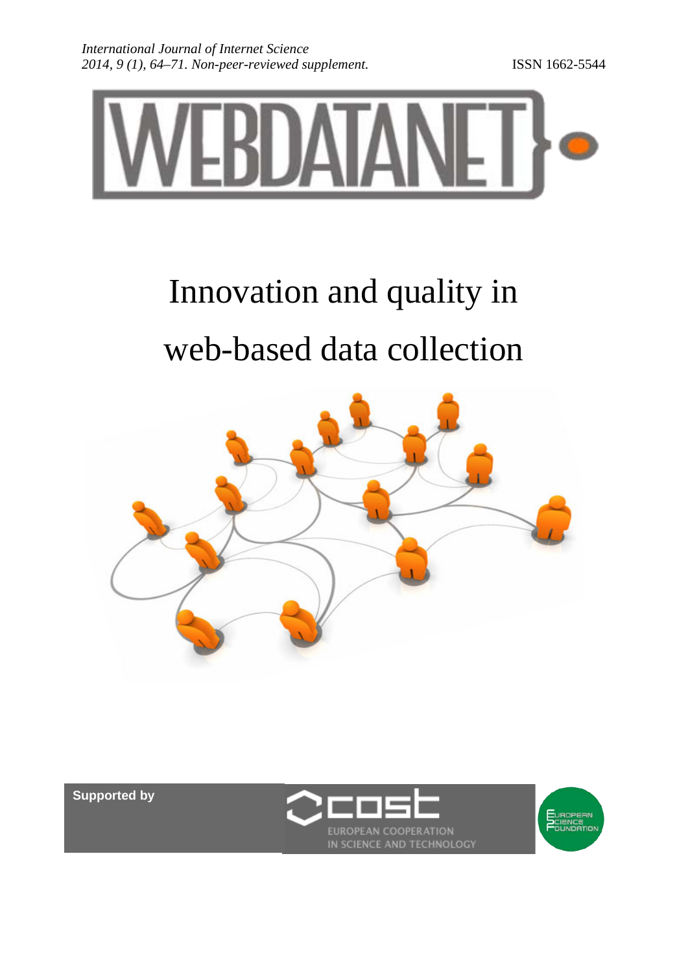

# Innovation and quality in web-based data collection



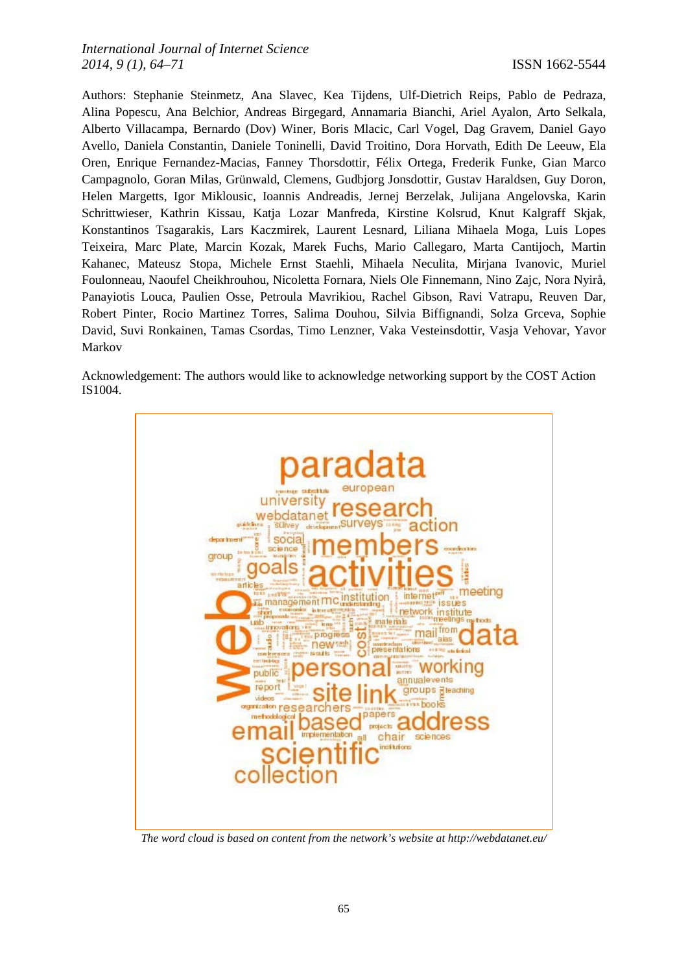Authors: Stephanie Steinmetz, Ana Slavec, Kea Tijdens, Ulf-Dietrich Reips, Pablo de Pedraza, Alina Popescu, Ana Belchior, Andreas Birgegard, Annamaria Bianchi, Ariel Ayalon, Arto Selkala, Alberto Villacampa, Bernardo (Dov) Winer, Boris Mlacic, Carl Vogel, Dag Gravem, Daniel Gayo Avello, Daniela Constantin, Daniele Toninelli, David Troitino, Dora Horvath, Edith De Leeuw, Ela Oren, Enrique Fernandez-Macias, Fanney Thorsdottir, Félix Ortega, Frederik Funke, Gian Marco Campagnolo, Goran Milas, Grünwald, Clemens, Gudbjorg Jonsdottir, Gustav Haraldsen, Guy Doron, Helen Margetts, Igor Miklousic, Ioannis Andreadis, Jernej Berzelak, Julijana Angelovska, Karin Schrittwieser, Kathrin Kissau, Katja Lozar Manfreda, Kirstine Kolsrud, Knut Kalgraff Skjak, Konstantinos Tsagarakis, Lars Kaczmirek, Laurent Lesnard, Liliana Mihaela Moga, Luis Lopes Teixeira, Marc Plate, Marcin Kozak, Marek Fuchs, Mario Callegaro, Marta Cantijoch, Martin Kahanec, Mateusz Stopa, Michele Ernst Staehli, Mihaela Neculita, Mirjana Ivanovic, Muriel Foulonneau, Naoufel Cheikhrouhou, Nicoletta Fornara, Niels Ole Finnemann, Nino Zajc, Nora Nyirå, Panayiotis Louca, Paulien Osse, Petroula Mavrikiou, Rachel Gibson, Ravi Vatrapu, Reuven Dar, Robert Pinter, Rocio Martinez Torres, Salima Douhou, Silvia Biffignandi, Solza Grceva, Sophie David, Suvi Ronkainen, Tamas Csordas, Timo Lenzner, Vaka Vesteinsdottir, Vasja Vehovar, Yavor Markov

Acknowledgement: The authors would like to acknowledge networking support by the COST Action IS1004.



*The word cloud is based on content from the network's website at http://webdatanet.eu/*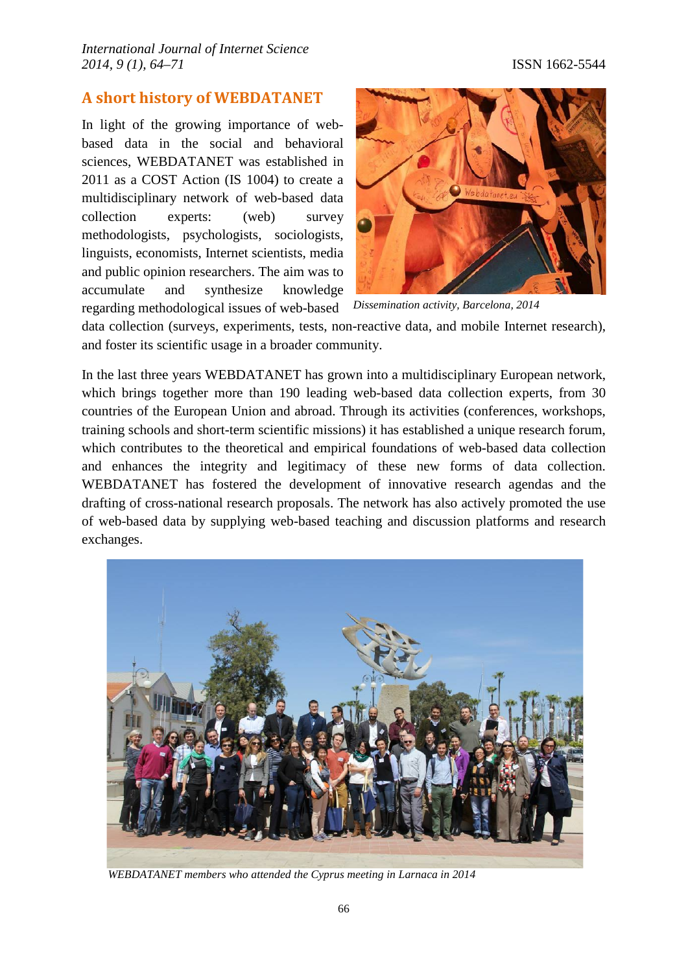## **A short history of WEBDATANET**

In light of the growing importance of webbased data in the social and behavioral sciences, WEBDATANET was established in 2011 as a COST Action (IS 1004) to create a multidisciplinary network of web-based data collection experts: (web) survey methodologists, psychologists, sociologists, linguists, economists, Internet scientists, media and public opinion researchers. The aim was to accumulate and synthesize knowledge regarding methodological issues of web-based



*Dissemination activity, Barcelona, 2014*

data collection (surveys, experiments, tests, non-reactive data, and mobile Internet research), and foster its scientific usage in a broader community.

In the last three years WEBDATANET has grown into a multidisciplinary European network, which brings together more than 190 leading web-based data collection experts, from 30 countries of the European Union and abroad. Through its activities (conferences, workshops, training schools and short-term scientific missions) it has established a unique research forum, which contributes to the theoretical and empirical foundations of web-based data collection and enhances the integrity and legitimacy of these new forms of data collection. WEBDATANET has fostered the development of innovative research agendas and the drafting of cross-national research proposals. The network has also actively promoted the use of web-based data by supplying web-based teaching and discussion platforms and research exchanges.



 *WEBDATANET members who attended the Cyprus meeting in Larnaca in 2014*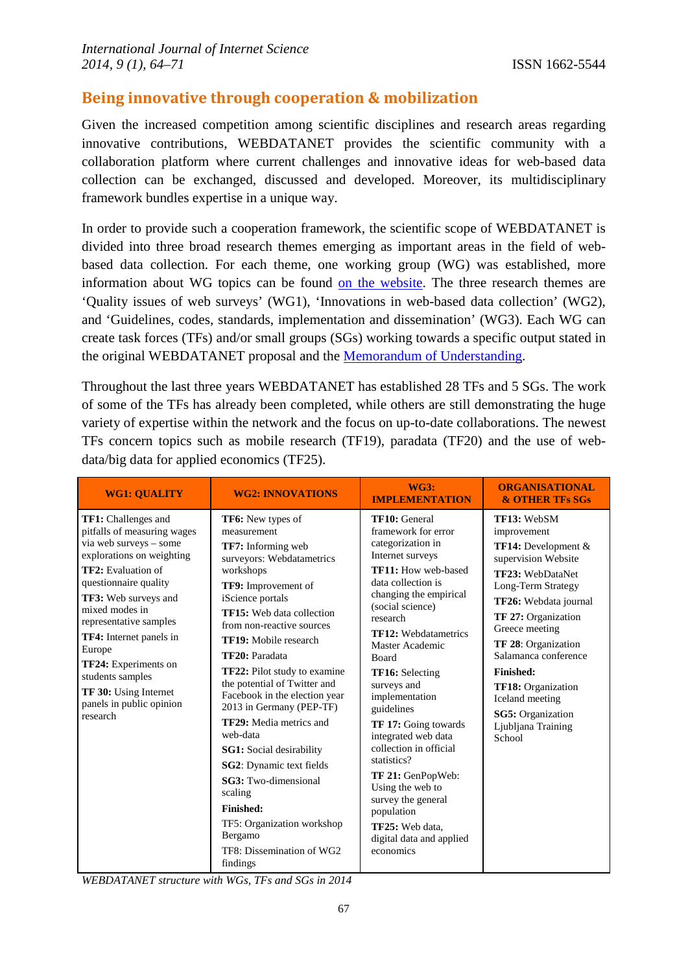## **Being innovative through cooperation & mobilization**

Given the increased competition among scientific disciplines and research areas regarding innovative contributions, WEBDATANET provides the scientific community with a collaboration platform where current challenges and innovative ideas for web-based data collection can be exchanged, discussed and developed. Moreover, its multidisciplinary framework bundles expertise in a unique way.

In order to provide such a cooperation framework, the scientific scope of WEBDATANET is divided into three broad research themes emerging as important areas in the field of webbased data collection. For each theme, one working group (WG) was established, more information about WG topics can be found [on the website.](http://webdatanet.cbs.dk/index.php/test/scientific-coordination) The three research themes are 'Quality issues of web surveys' (WG1), 'Innovations in web-based data collection' (WG2), and 'Guidelines, codes, standards, implementation and dissemination' (WG3). Each WG can create task forces (TFs) and/or small groups (SGs) working towards a specific output stated in the original WEBDATANET proposal and the [Memorandum of Understanding.](http://webdatanet.eu/images/presentations/mou%20is1004-webdatanet.pdf)

Throughout the last three years WEBDATANET has established 28 TFs and 5 SGs. The work of some of the TFs has already been completed, while others are still demonstrating the huge variety of expertise within the network and the focus on up-to-date collaborations. The newest TFs concern topics such as mobile research (TF19), paradata (TF20) and the use of webdata/big data for applied economics (TF25).

| <b>WG1: QUALITY</b>                                                                                                                                                                                                                                                                                                                                                                          | <b>WG2: INNOVATIONS</b>                                                                                                                                                                                                                                                                                                                                                                                                                                                                                                                                                                                                                                         | <b>WG3:</b><br><b>IMPLEMENTATION</b>                                                                                                                                                                                                                                                                                                                                                                                                                                                                                                                                           | <b>ORGANISATIONAL</b><br><b>&amp; OTHER TFs SGs</b>                                                                                                                                                                                                                                                                                                                            |
|----------------------------------------------------------------------------------------------------------------------------------------------------------------------------------------------------------------------------------------------------------------------------------------------------------------------------------------------------------------------------------------------|-----------------------------------------------------------------------------------------------------------------------------------------------------------------------------------------------------------------------------------------------------------------------------------------------------------------------------------------------------------------------------------------------------------------------------------------------------------------------------------------------------------------------------------------------------------------------------------------------------------------------------------------------------------------|--------------------------------------------------------------------------------------------------------------------------------------------------------------------------------------------------------------------------------------------------------------------------------------------------------------------------------------------------------------------------------------------------------------------------------------------------------------------------------------------------------------------------------------------------------------------------------|--------------------------------------------------------------------------------------------------------------------------------------------------------------------------------------------------------------------------------------------------------------------------------------------------------------------------------------------------------------------------------|
| TF1: Challenges and<br>pitfalls of measuring wages<br>via web surveys - some<br>explorations on weighting<br><b>TF2:</b> Evaluation of<br>questionnaire quality<br>TF3: Web surveys and<br>mixed modes in<br>representative samples<br>TF4: Internet panels in<br>Europe<br>TF24: Experiments on<br>students samples<br><b>TF 30:</b> Using Internet<br>panels in public opinion<br>research | TF6: New types of<br>measurement<br><b>TF7:</b> Informing web<br>surveyors: Webdatametrics<br>workshops<br>TF9: Improvement of<br>iScience portals<br><b>TF15:</b> Web data collection<br>from non-reactive sources<br><b>TF19:</b> Mobile research<br>TF20: Paradata<br><b>TF22:</b> Pilot study to examine<br>the potential of Twitter and<br>Facebook in the election year<br>2013 in Germany (PEP-TF)<br>TF29: Media metrics and<br>web-data<br><b>SG1:</b> Social desirability<br>SG2: Dynamic text fields<br><b>SG3:</b> Two-dimensional<br>scaling<br><b>Finished:</b><br>TF5: Organization workshop<br>Bergamo<br>TF8: Dissemination of WG2<br>findings | TF10: General<br>framework for error<br>categorization in<br>Internet surveys<br>TF11: How web-based<br>data collection is<br>changing the empirical<br>(social science)<br>research<br><b>TF12: Webdatametrics</b><br>Master Academic<br><b>Board</b><br><b>TF16:</b> Selecting<br>surveys and<br>implementation<br>guidelines<br><b>TF 17:</b> Going towards<br>integrated web data<br>collection in official<br>statistics?<br><b>TF 21: GenPopWeb:</b><br>Using the web to<br>survey the general<br>population<br>TF25: Web data,<br>digital data and applied<br>economics | TF13: WebSM<br>improvement<br><b>TF14:</b> Development $\&$<br>supervision Website<br>TF23: WebDataNet<br>Long-Term Strategy<br><b>TF26:</b> Webdata journal<br><b>TF 27: Organization</b><br>Greece meeting<br>TF 28: Organization<br>Salamanca conference<br>Finished:<br>TF18: Organization<br>Iceland meeting<br><b>SG5</b> : Organization<br>Ljubljana Training<br>School |

*WEBDATANET structure with WGs, TFs and SGs in 2014*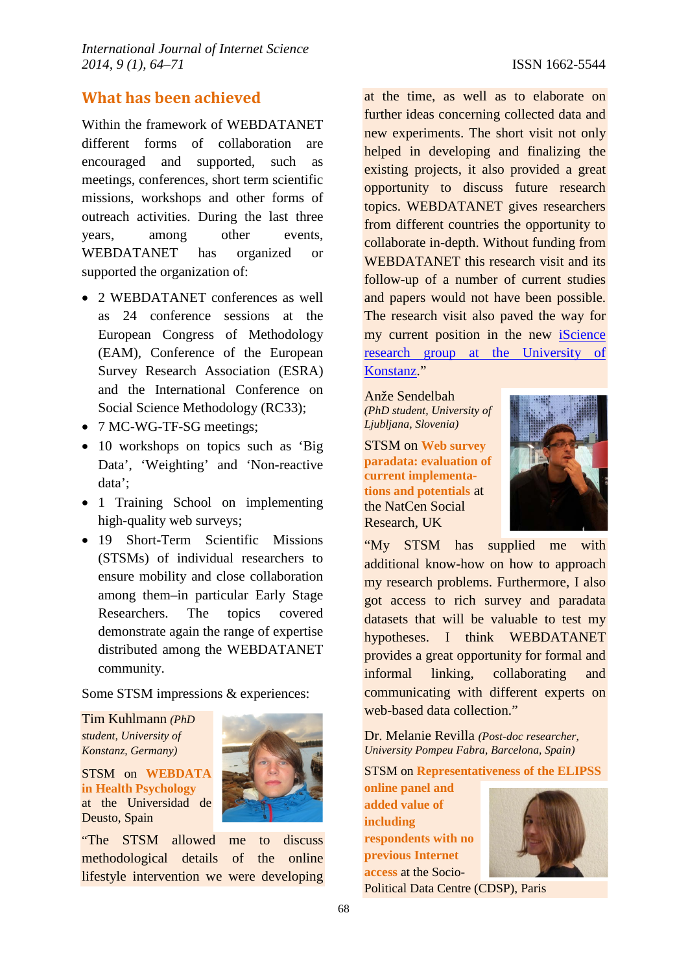## **What has been achieved**

Within the framework of WEBDATANET different forms of collaboration are encouraged and supported, such as meetings, conferences, short term scientific missions, workshops and other forms of outreach activities. During the last three years, among other events, WEBDATANET has organized or supported the organization of:

- 2 WEBDATANET conferences as well as 24 conference sessions at the European Congress of Methodology (EAM), Conference of the European Survey Research Association (ESRA) and the International Conference on Social Science Methodology (RC33);
- 7 MC-WG-TF-SG meetings;
- 10 workshops on topics such as 'Big Data', 'Weighting' and 'Non-reactive data';
- 1 Training School on implementing high-quality web surveys;
- 19 Short-Term Scientific Missions (STSMs) of individual researchers to ensure mobility and close collaboration among them–in particular Early Stage Researchers. The topics covered demonstrate again the range of expertise distributed among the WEBDATANET community.

Some STSM impressions & experiences:

Tim Kuhlmann *(PhD student, University of Konstanz, Germany)*

STSM on **WEBDATA in Health Psychology** at the Universidad de Deusto, Spain



"The STSM allowed me to discuss methodological details of the online lifestyle intervention we were developing at the time, as well as to elaborate on further ideas concerning collected data and new experiments. The short visit not only helped in developing and finalizing the existing projects, it also provided a great opportunity to discuss future research topics. WEBDATANET gives researchers from different countries the opportunity to collaborate in-depth. Without funding from WEBDATANET this research visit and its follow-up of a number of current studies and papers would not have been possible. The research visit also paved the way for my current position in the new [iScience](http://iscience.uni-konstanz.de/)  [research group at the University of](http://iscience.uni-konstanz.de/)  [Konstanz.](http://iscience.uni-konstanz.de/)"

Anže Sendelbah *(PhD student, University of Ljubljana, Slovenia)*

STSM on **Web survey paradata: evaluation of current implementations and potentials** at the NatCen Social Research, UK



"My STSM has supplied me with additional know-how on how to approach my research problems. Furthermore, I also got access to rich survey and paradata datasets that will be valuable to test my hypotheses. I think WEBDATANET provides a great opportunity for formal and informal linking, collaborating and communicating with different experts on web-based data collection."

Dr. Melanie Revilla *(Post-doc researcher, University Pompeu Fabra, Barcelona, Spain)*

STSM on **Representativeness of the ELIPSS** 

**online panel and added value of including respondents with no previous Internet access** at the Socio-



Political Data Centre (CDSP), Paris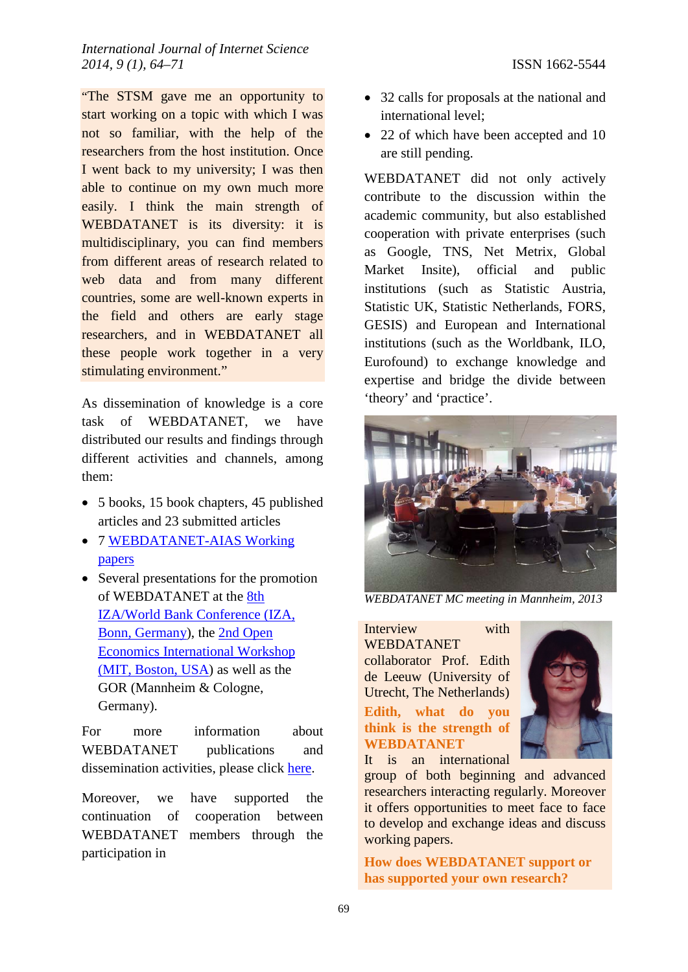"The STSM gave me an opportunity to start working on a topic with which I was not so familiar, with the help of the researchers from the host institution. Once I went back to my university; I was then able to continue on my own much more easily. I think the main strength of WEBDATANET is its diversity: it is multidisciplinary, you can find members from different areas of research related to web data and from many different countries, some are well-known experts in the field and others are early stage researchers, and in WEBDATANET all these people work together in a very stimulating environment."

As dissemination of knowledge is a core task of WEBDATANET, we have distributed our results and findings through different activities and channels, among them:

- 5 books, 15 book chapters, 45 published articles and 23 submitted articles
- 7 [WEBDATANET-AIAS Working](http://webdatanet.cbs.dk/index.php/research/webdatanet-aias-working-papers)  [papers](http://webdatanet.cbs.dk/index.php/research/webdatanet-aias-working-papers)
- Several presentations for the promotion of WEBDATANET at the [8th](http://www.iza.org/conference_files/worldb2013/call_for_papers)  [IZA/World Bank Conference \(IZA,](http://www.iza.org/conference_files/worldb2013/call_for_papers)  [Bonn, Germany\)](http://www.iza.org/conference_files/worldb2013/call_for_papers), the [2nd Open](http://openeconomics.net/events/workshop-june-2013/)  [Economics International Workshop](http://openeconomics.net/events/workshop-june-2013/)  [\(MIT, Boston, USA\)](http://openeconomics.net/events/workshop-june-2013/) as well as the GOR (Mannheim & Cologne, Germany).

For more information about WEBDATANET publications and dissemination activities, please click [here.](http://webdatanet.cbs.dk/index.php/research/articles-and-books)

Moreover, we have supported the continuation of cooperation between WEBDATANET members through the participation in

- 32 calls for proposals at the national and international level;
- 22 of which have been accepted and 10 are still pending.

WEBDATANET did not only actively contribute to the discussion within the academic community, but also established cooperation with private enterprises (such as Google, TNS, Net Metrix, Global Market Insite), official and public institutions (such as Statistic Austria, Statistic UK, Statistic Netherlands, FORS, GESIS) and European and International institutions (such as the Worldbank, ILO, Eurofound) to exchange knowledge and expertise and bridge the divide between 'theory' and 'practice'.



*WEBDATANET MC meeting in Mannheim, 2013* 

Interview with WEBDATANET collaborator Prof. Edith de Leeuw (University of Utrecht, The Netherlands) **Edith, what do you think is the strength of WEBDATANET** It is an international



group of both beginning and advanced researchers interacting regularly. Moreover it offers opportunities to meet face to face to develop and exchange ideas and discuss working papers.

**How does WEBDATANET support or has supported your own research?**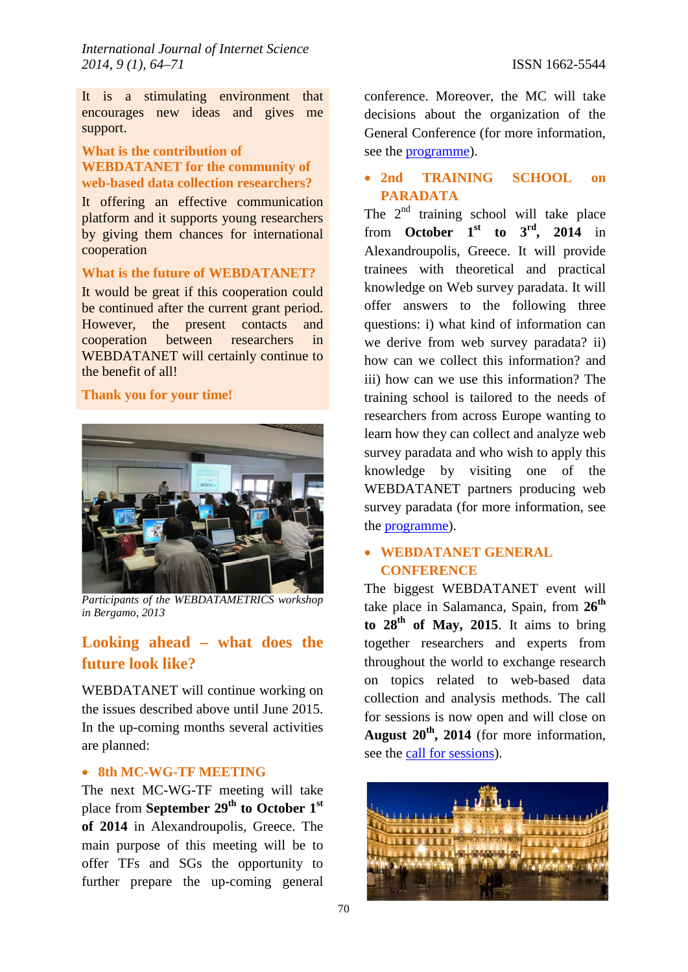It is a stimulating environment that encourages new ideas and gives me support.

#### **What is the contribution of WEBDATANET for the community of web-based data collection researchers?**

It offering an effective communication platform and it supports young researchers by giving them chances for international cooperation

#### **What is the future of WEBDATANET?**

It would be great if this cooperation could be continued after the current grant period. However, the present contacts and cooperation between researchers in WEBDATANET will certainly continue to the benefit of all!

#### **Thank you for your time!**



*Participants of the WEBDATAMETRICS workshop in Bergamo, 2013*

## **Looking ahead – what does the future look like?**

WEBDATANET will continue working on the issues described above until June 2015. In the up-coming months several activities are planned:

#### • **8th MC-WG-TF MEETING**

The next MC-WG-TF meeting will take place from **September 29th to October 1st of 2014** in Alexandroupolis, Greece. The main purpose of this meeting will be to offer TFs and SGs the opportunity to further prepare the up-coming general conference. Moreover, the MC will take decisions about the organization of the General Conference (for more information, see the **programme**).

### • **2nd TRAINING SCHOOL on PARADATA**

The  $2<sup>nd</sup>$  training school will take place from **October 1**<sup>st</sup> to  $3^{\text{rd}}$ , 2014 in Alexandroupolis, Greece. It will provide trainees with theoretical and practical knowledge on Web survey paradata. It will offer answers to the following three questions: i) what kind of information can we derive from web survey paradata? ii) how can we collect this information? and iii) how can we use this information? The training school is tailored to the needs of researchers from across Europe wanting to learn how they can collect and analyze web survey paradata and who wish to apply this knowledge by visiting one of the WEBDATANET partners producing web survey paradata (for more information, see the [programme\)](http://webdatanet.cbs.dk/index.php/data/171).

## • **WEBDATANET GENERAL CONFERENCE**

The biggest WEBDATANET event will take place in Salamanca, Spain, from **26th** to  $28<sup>th</sup>$  of May, 2015. It aims to bring together researchers and experts from throughout the world to exchange research on topics related to web-based data collection and analysis methods. The call for sessions is now open and will close on **August 20th, 2014** (for more information, see the [call for sessions\)](http://webdatanet.cbs.dk/index.php/data/167).